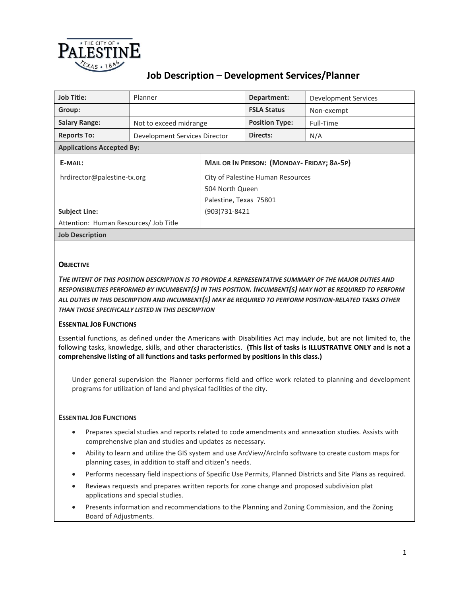

| <b>Job Title:</b>                     | Planner                       |                                                  | Department:           | Development Services |  |
|---------------------------------------|-------------------------------|--------------------------------------------------|-----------------------|----------------------|--|
| Group:                                |                               |                                                  | <b>FSLA Status</b>    | Non-exempt           |  |
| <b>Salary Range:</b>                  | Not to exceed midrange        |                                                  | <b>Position Type:</b> | Full-Time            |  |
| <b>Reports To:</b>                    | Development Services Director |                                                  | Directs:              | N/A                  |  |
| <b>Applications Accepted By:</b>      |                               |                                                  |                       |                      |  |
| E-MAIL:                               |                               | <b>MAIL OR IN PERSON: (MONDAY-FRIDAY; 8A-5P)</b> |                       |                      |  |
| hrdirector@palestine-tx.org           |                               | City of Palestine Human Resources                |                       |                      |  |
|                                       |                               | 504 North Queen                                  |                       |                      |  |
|                                       |                               | Palestine, Texas 75801                           |                       |                      |  |
| <b>Subject Line:</b>                  |                               | (903)731-8421                                    |                       |                      |  |
| Attention: Human Resources/ Job Title |                               |                                                  |                       |                      |  |
| <b>Job Description</b>                |                               |                                                  |                       |                      |  |

# **OBJECTIVE**

*THE INTENT OF THIS POSITION DESCRIPTION IS TO PROVIDE A REPRESENTATIVE SUMMARY OF THE MAJOR DUTIES AND RESPONSIBILITIES PERFORMED BY INCUMBENT(S) IN THIS POSITION. INCUMBENT(S) MAY NOT BE REQUIRED TO PERFORM ALL DUTIES IN THIS DESCRIPTION AND INCUMBENT(S) MAY BE REQUIRED TO PERFORM POSITION-RELATED TASKS OTHER THAN THOSE SPECIFICALLY LISTED IN THIS DESCRIPTION*

### **ESSENTIAL JOB FUNCTIONS**

Essential functions, as defined under the Americans with Disabilities Act may include, but are not limited to, the following tasks, knowledge, skills, and other characteristics. **(This list of tasks is ILLUSTRATIVE ONLY and is not a comprehensive listing of all functions and tasks performed by positions in this class.)**

Under general supervision the Planner performs field and office work related to planning and development programs for utilization of land and physical facilities of the city.

## **ESSENTIAL JOB FUNCTIONS**

- Prepares special studies and reports related to code amendments and annexation studies. Assists with comprehensive plan and studies and updates as necessary.
- Ability to learn and utilize the GIS system and use ArcView/ArcInfo software to create custom maps for planning cases, in addition to staff and citizen's needs.
- Performs necessary field inspections of Specific Use Permits, Planned Districts and Site Plans as required.
- Reviews requests and prepares written reports for zone change and proposed subdivision plat applications and special studies.
- Presents information and recommendations to the Planning and Zoning Commission, and the Zoning Board of Adjustments.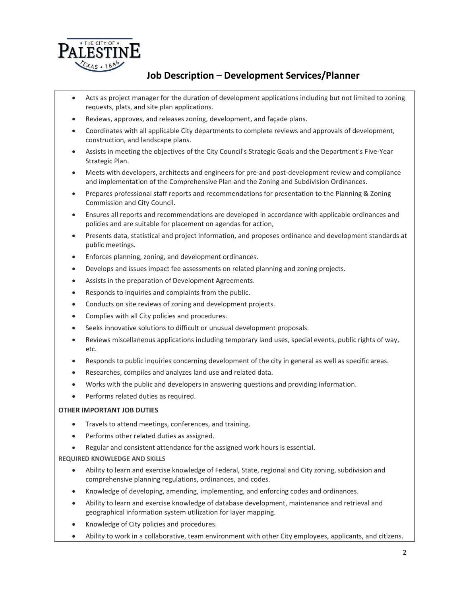

- Acts as project manager for the duration of development applications including but not limited to zoning requests, plats, and site plan applications.
- Reviews, approves, and releases zoning, development, and façade plans.
- Coordinates with all applicable City departments to complete reviews and approvals of development, construction, and landscape plans.
- Assists in meeting the objectives of the City Council's Strategic Goals and the Department's Five-Year Strategic Plan.
- Meets with developers, architects and engineers for pre-and post-development review and compliance and implementation of the Comprehensive Plan and the Zoning and Subdivision Ordinances.
- Prepares professional staff reports and recommendations for presentation to the Planning & Zoning Commission and City Council.
- Ensures all reports and recommendations are developed in accordance with applicable ordinances and policies and are suitable for placement on agendas for action,
- Presents data, statistical and project information, and proposes ordinance and development standards at public meetings.
- Enforces planning, zoning, and development ordinances.
- Develops and issues impact fee assessments on related planning and zoning projects.
- Assists in the preparation of Development Agreements.
- Responds to inquiries and complaints from the public.
- Conducts on site reviews of zoning and development projects.
- Complies with all City policies and procedures.
- Seeks innovative solutions to difficult or unusual development proposals.
- Reviews miscellaneous applications including temporary land uses, special events, public rights of way, etc.
- Responds to public inquiries concerning development of the city in general as well as specific areas.
- Researches, compiles and analyzes land use and related data.
- Works with the public and developers in answering questions and providing information.
- Performs related duties as required.

### **OTHER IMPORTANT JOB DUTIES**

- Travels to attend meetings, conferences, and training.
- Performs other related duties as assigned.
- Regular and consistent attendance for the assigned work hours is essential.

**REQUIRED KNOWLEDGE AND SKILLS**

- Ability to learn and exercise knowledge of Federal, State, regional and City zoning, subdivision and comprehensive planning regulations, ordinances, and codes.
- Knowledge of developing, amending, implementing, and enforcing codes and ordinances.
- Ability to learn and exercise knowledge of database development, maintenance and retrieval and geographical information system utilization for layer mapping.
- Knowledge of City policies and procedures.
- Ability to work in a collaborative, team environment with other City employees, applicants, and citizens.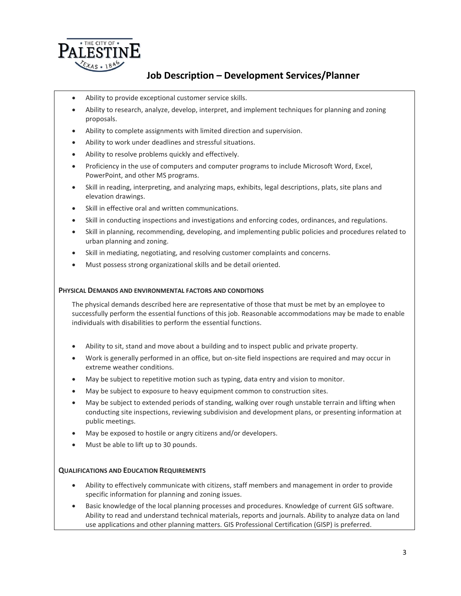

- Ability to provide exceptional customer service skills.
- Ability to research, analyze, develop, interpret, and implement techniques for planning and zoning proposals.
- Ability to complete assignments with limited direction and supervision.
- Ability to work under deadlines and stressful situations.
- Ability to resolve problems quickly and effectively.
- Proficiency in the use of computers and computer programs to include Microsoft Word, Excel, PowerPoint, and other MS programs.
- Skill in reading, interpreting, and analyzing maps, exhibits, legal descriptions, plats, site plans and elevation drawings.
- Skill in effective oral and written communications.
- Skill in conducting inspections and investigations and enforcing codes, ordinances, and regulations.
- Skill in planning, recommending, developing, and implementing public policies and procedures related to urban planning and zoning.
- Skill in mediating, negotiating, and resolving customer complaints and concerns.
- Must possess strong organizational skills and be detail oriented.

#### **PHYSICAL DEMANDS AND ENVIRONMENTAL FACTORS AND CONDITIONS**

The physical demands described here are representative of those that must be met by an employee to successfully perform the essential functions of this job. Reasonable accommodations may be made to enable individuals with disabilities to perform the essential functions.

- Ability to sit, stand and move about a building and to inspect public and private property.
- Work is generally performed in an office, but on-site field inspections are required and may occur in extreme weather conditions.
- May be subject to repetitive motion such as typing, data entry and vision to monitor.
- May be subject to exposure to heavy equipment common to construction sites.
- May be subject to extended periods of standing, walking over rough unstable terrain and lifting when conducting site inspections, reviewing subdivision and development plans, or presenting information at public meetings.
- May be exposed to hostile or angry citizens and/or developers.
- Must be able to lift up to 30 pounds.

#### **QUALIFICATIONS AND EDUCATION REQUIREMENTS**

- Ability to effectively communicate with citizens, staff members and management in order to provide specific information for planning and zoning issues.
- Basic knowledge of the local planning processes and procedures. Knowledge of current GIS software. Ability to read and understand technical materials, reports and journals. Ability to analyze data on land use applications and other planning matters. GIS Professional Certification (GISP) is preferred.